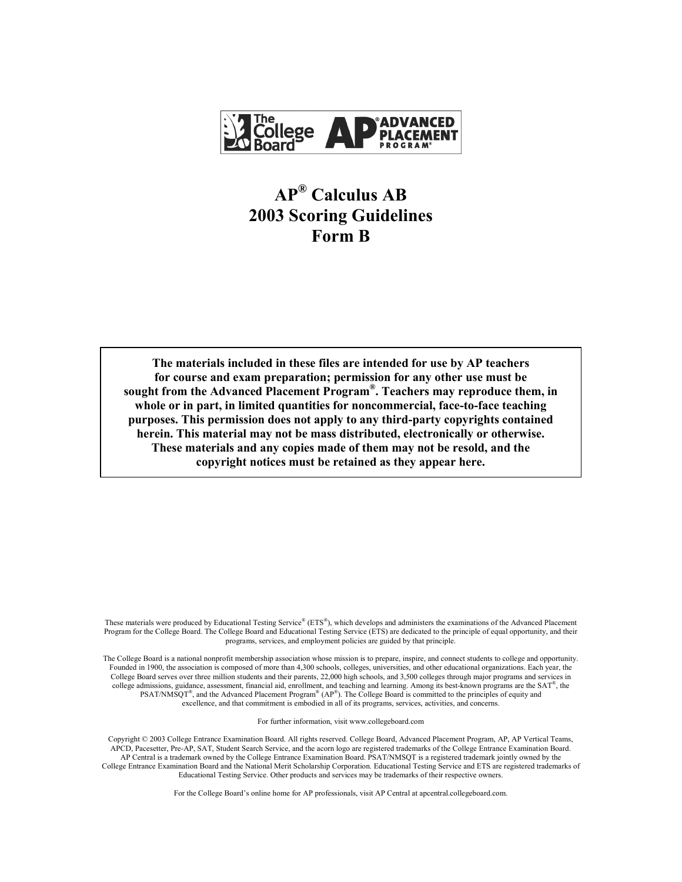

# **AP® Calculus AB 2003 Scoring Guidelines Form B**

**The materials included in these files are intended for use by AP teachers for course and exam preparation; permission for any other use must be sought from the Advanced Placement Program®. Teachers may reproduce them, in whole or in part, in limited quantities for noncommercial, face-to-face teaching purposes. This permission does not apply to any third-party copyrights contained herein. This material may not be mass distributed, electronically or otherwise. These materials and any copies made of them may not be resold, and the copyright notices must be retained as they appear here.** 

These materials were produced by Educational Testing Service® (ETS®), which develops and administers the examinations of the Advanced Placement Program for the College Board. The College Board and Educational Testing Service (ETS) are dedicated to the principle of equal opportunity, and their programs, services, and employment policies are guided by that principle.

The College Board is a national nonprofit membership association whose mission is to prepare, inspire, and connect students to college and opportunity. Founded in 1900, the association is composed of more than 4,300 schools, colleges, universities, and other educational organizations. Each year, the College Board serves over three million students and their parents, 22,000 high schools, and 3,500 colleges through major programs and services in college admissions, guidance, assessment, financial aid, enrollment, and teaching and learning. Among its best-known programs are the  $SAT^{\circ}$ , the PSAT/NMSQT<sup>®</sup>, and the Advanced Placement Program<sup>®</sup> (AP<sup>®</sup>). The College Board is committed to the principles of equity and excellence, and that commitment is embodied in all of its programs, services, activities, and concerns.

For further information, visit www.collegeboard.com

Copyright © 2003 College Entrance Examination Board. All rights reserved. College Board, Advanced Placement Program, AP, AP Vertical Teams, APCD, Pacesetter, Pre-AP, SAT, Student Search Service, and the acorn logo are registered trademarks of the College Entrance Examination Board. AP Central is a trademark owned by the College Entrance Examination Board. PSAT/NMSQT is a registered trademark jointly owned by the College Entrance Examination Board and the National Merit Scholarship Corporation. Educational Testing Service and ETS are registered trademarks of Educational Testing Service. Other products and services may be trademarks of their respective owners.

For the College Board's online home for AP professionals, visit AP Central at apcentral.collegeboard.com.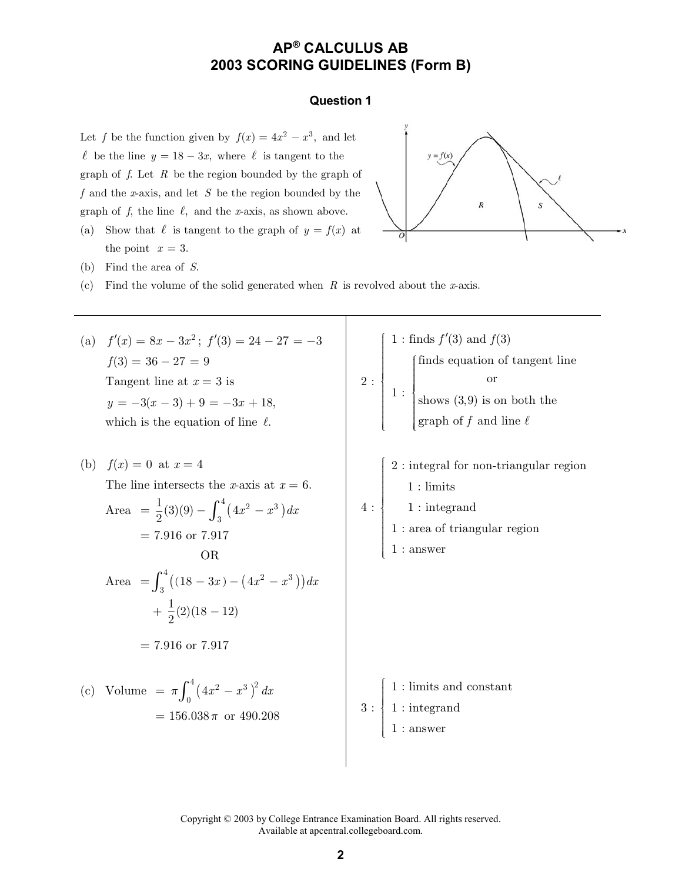#### **Question 1**

Let *f* be the function given by  $f(x) = 4x^2 - x^3$ , and let  $\ell$  be the line  $y = 18 - 3x$ , where  $\ell$  is tangent to the graph of *f*. Let *R* be the region bounded by the graph of *f* and the *x*-axis, and let *S* be the region bounded by the graph of  $f$ , the line  $\ell$ , and the *x*-axis, as shown above.

(a) Show that  $\ell$  is tangent to the graph of  $y = f(x)$  at the point  $x = 3$ .



- (b) Find the area of *S*.
- (c) Find the volume of the solid generated when *R* is revolved about the *x*-axis.

(a)  $f'(x) = 8x - 3x^2$ ;  $f'(3) = 24 - 27 = -3$  $f(3) = 36 - 27 = 9$ Tangent line at  $x = 3$  is  $y = -3(x - 3) + 9 = -3x + 18,$ which is the equation of line  $\ell$ .

(b) 
$$
f(x) = 0
$$
 at  $x = 4$   
\nThe line intersects the *x*-axis at  $x = 6$ .  
\nArea  $= \frac{1}{2}(3)(9) - \int_3^4 (4x^2 - x^3) dx$   
\n $= 7.916$  or  $7.917$   
\nOR  
\nArea  $= \int_3^4 ((18 - 3x) - (4x^2 - x^3)) dx$   
\n $+ \frac{1}{2}(2)(18 - 12)$   
\n $= 7.916$  or  $7.917$   
\n(c) Volume  $= \pi \int_0^4 (4x^2 - x^3)^2 dx$ 

$$
2:\begin{cases} 1:\text{finds } f'(3) \text{ and } f(3) \\ \text{finds equation of tangent line} \\ \text{or} \\ \text{shows } (3,9) \text{ is on both the} \\ \text{graph of } f \text{ and line } \ell \\ \\ 2:\text{integral for non-triangular region} \\ 1:\text{limits} \\ 1:\text{integral} \\ 1:\text{area of triangular region} \\ 1:\text{answer} \end{cases}
$$

 $= 156.038 \pi \text{ or } 490.208$  3: 1 : limits and constant 1 : integrand 1 : answer £¦ ¦ ¦ ¦¦ ¤ ¦ ¦ ¦ ¦¦¥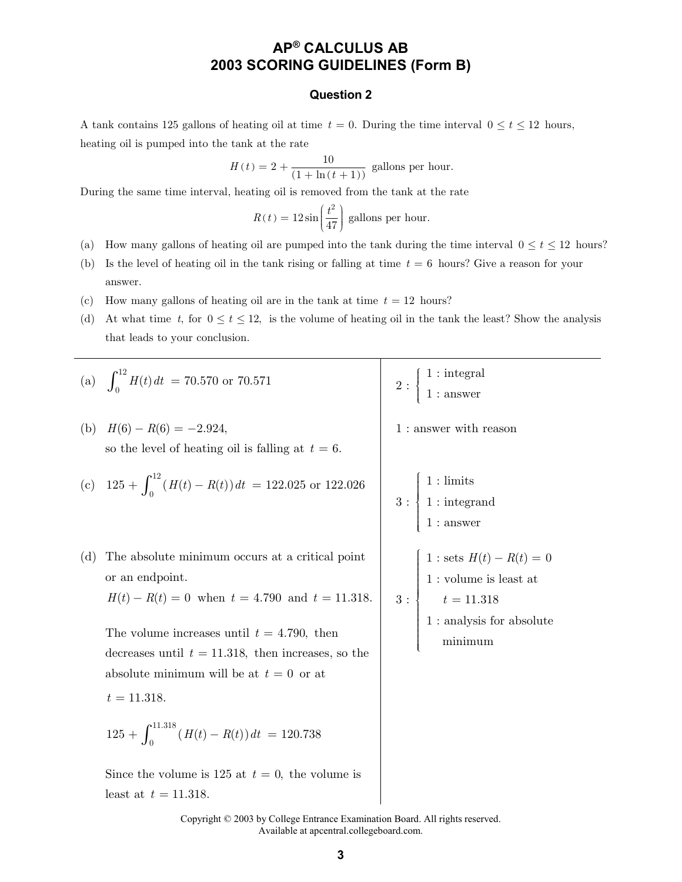### **Question 2**

A tank contains 125 gallons of heating oil at time  $t = 0$ . During the time interval  $0 \le t \le 12$  hours, heating oil is pumped into the tank at the rate

$$
H(t) = 2 + \frac{10}{(1 + \ln(t + 1))}
$$
 gallons per hour.

During the same time interval, heating oil is removed from the tank at the rate

$$
R(t) = 12\sin\left(\frac{t^2}{47}\right)
$$
 gallons per hour.

- (a) How many gallons of heating oil are pumped into the tank during the time interval  $0 \le t \le 12$  hours?
- (b) Is the level of heating oil in the tank rising or falling at time  $t = 6$  hours? Give a reason for your answer.
- (c) How many gallons of heating oil are in the tank at time  $t = 12$  hours?
- (d) At what time t, for  $0 \le t \le 12$ , is the volume of heating oil in the tank the least? Show the analysis that leads to your conclusion.

\n- (a) 
$$
\int_{0}^{12} H(t) dt = 70.570
$$
 or 70.571
\n- (b)  $H(6) - R(6) = -2.924$ , so the level of heating oil is falling at  $t = 6$ .
\n- (c)  $125 + \int_{0}^{12} (H(t) - R(t)) dt = 122.025$  or 122.026
\n- (d) The absolute minimum occurs at a critical point or an endpoint.
\n- $H(t) - R(t) = 0$  when  $t = 4.790$  and  $t = 11.318$ .
\n- The volume increases until  $t = 11.318$ , then increases, so the absolute minimum will be at  $t = 0$  or at  $t = 11.318$ .
\n- $125 + \int_{0}^{11.318} (H(t) - R(t)) dt = 120.738$
\n- Since the volume is  $125$  at  $t = 0$ , the volume is
\n
\nleast at  $t = 11.318$ .

\nSince the volume is  $125$  at  $t = 0$ , the volume is

\nleast at  $t = 11.318$ .

\nSince the volume is  $125$  at  $t = 0$ , the volume is

\nhas a constant  $t = 11.318$ .

\nSince the volume is  $125$  at  $t = 0$ , the volume is

\nhas a constant  $t = 11.318$ .

\nSince the volume is  $125$  at  $t = 0$ , the volume is

\nas a constant  $t = 11.318$ .

\nSince the volume is  $125$  at  $t = 0$ , the volume is

\nand  $t = 11.318$ .

\nSince the volume is  $125$  at <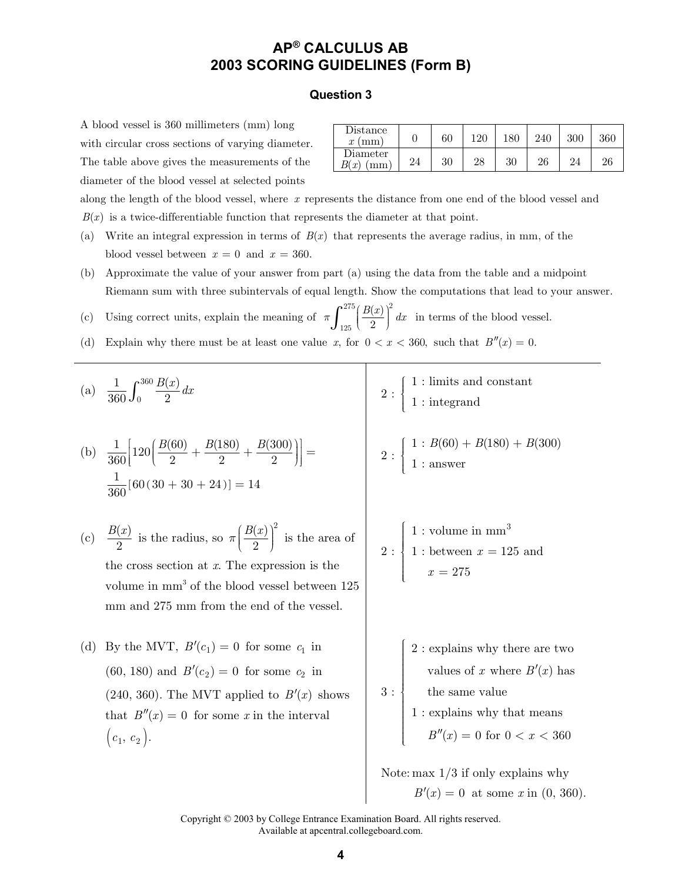#### **Question 3**

A blood vessel is 360 millimeters (mm) long with circular cross sections of varying diameter. The table above gives the measurements of the diameter of the blood vessel at selected points

| Distance<br>(mm)<br>$\boldsymbol{x}$ |    | 60 | 120 | $180\,$ |    |    | 360 |
|--------------------------------------|----|----|-----|---------|----|----|-----|
| Diameter<br>$\cdot$ $r'$             | 24 | 30 | 28  | 30      | 26 | 24 | 26  |

along the length of the blood vessel, where *x* represents the distance from one end of the blood vessel and  $B(x)$  is a twice-differentiable function that represents the diameter at that point.

- (a) Write an integral expression in terms of  $B(x)$  that represents the average radius, in mm, of the blood vessel between  $x = 0$  and  $x = 360$ .
- (b) Approximate the value of your answer from part (a) using the data from the table and a midpoint Riemann sum with three subintervals of equal length. Show the computations that lead to your answer.
- (c) Using correct units, explain the meaning of 275  $(P(x))^2$ 125  $\left( x\right)$  $\pi \int_{125}^{275} \left(\frac{B(x)}{2}\right)^2 dx$  in terms of the blood vessel.
- (d) Explain why there must be at least one value *x*, for  $0 < x < 360$ , such that  $B''(x) = 0$ .

(a) 
$$
\frac{1}{360} \int_0^{360} \frac{B(x)}{2} dx
$$
  
\n(b)  $\frac{1}{360} \Big[ 120 \Big( \frac{B(60)}{2} + \frac{B(180)}{2} + \frac{B(300)}{2} \Big) \Big] =$   
\n $\frac{1}{360} [60(30 + 30 + 24)] = 14$   
\n(c)  $\frac{B(x)}{2}$  is the radius, so  $\pi \Big( \frac{B(x)}{2} \Big)^2$  is the area of the cross section at *x*. The expression is the volume in mm<sup>3</sup> of the blood vessel between 125 mm from the end of the vessel.  
\n(d) By the MVT,  $B'(c_1) = 0$  for some  $c_1$  in (60, 180) and  $B'(c_2) = 0$  for some  $c_2$  in (240, 360). The MVT applied to  $B'(x)$  shows that  $B''(x) = 0$  for some *x* in the interval  $(c_1, c_2)$ .

$$
2: \begin{cases} 1: \text{limits and constant} \\ 1: \text{integrand} \end{cases}
$$

$$
2: \begin{cases} 1: B(60) + B(180) + B(300) \\ 1: \text{answer} \end{cases}
$$

2: 
$$
\begin{cases} 1: \text{volume in mm}^3 \\ 1: \text{between } x = 125 \text{ and} \\ x = 275 \end{cases}
$$

2 : explains why there are two values of x where  $B'(x)$  has the same value 1 : explains why that means

$$
B''(x) = 0 \text{ for } 0 < x < 360
$$

Note: max 1/3 if only explains why  $B'(x) = 0$  at some *x* in (0, 360).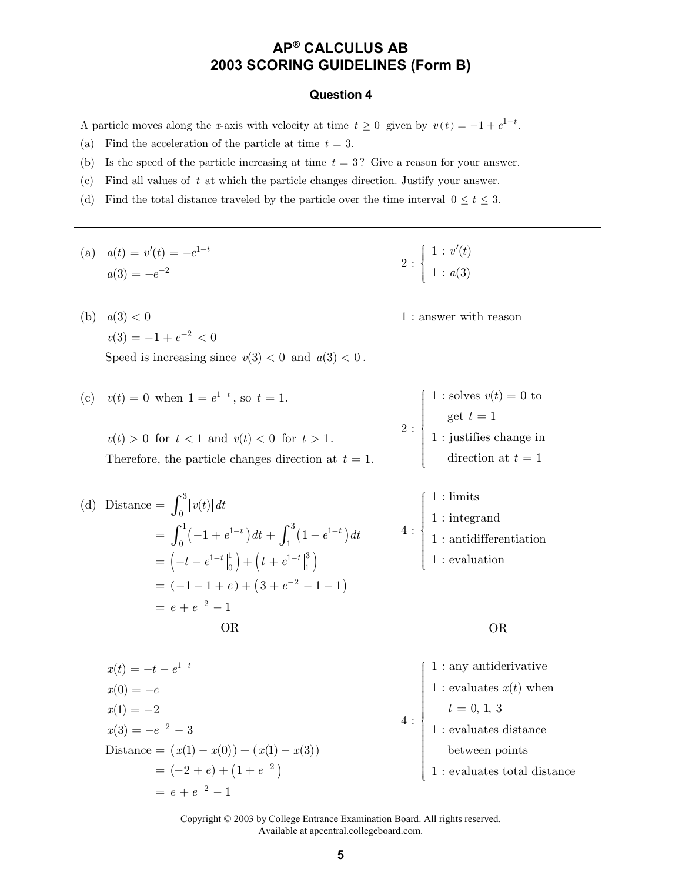#### **Question 4**

A particle moves along the *x*-axis with velocity at time  $t \geq 0$  given by  $v(t) = -1 + e^{1-t}$ .

- (a) Find the acceleration of the particle at time  $t = 3$ .
- (b) Is the speed of the particle increasing at time *t* = 3? Give a reason for your answer.
- (c) Find all values of *t* at which the particle changes direction. Justify your answer.
- (d) Find the total distance traveled by the particle over the time interval  $0 \le t \le 3$ .

| (a) $a(t) = v'(t) = -e^{1-t}$<br>$a(3) = -e^{-2}$                                                                                                                                                                                       | $2: \left\{ \begin{array}{l} 1: v'(t) \\ 1: a(3) \end{array} \right.$                                                                                                                                                                                                           |
|-----------------------------------------------------------------------------------------------------------------------------------------------------------------------------------------------------------------------------------------|---------------------------------------------------------------------------------------------------------------------------------------------------------------------------------------------------------------------------------------------------------------------------------|
| a(3) < 0<br>(b)<br>$v(3) = -1 + e^{-2} < 0$<br>Speed is increasing since $v(3) < 0$ and $a(3) < 0$ .                                                                                                                                    | 1 : answer with reason                                                                                                                                                                                                                                                          |
| (c) $v(t) = 0$ when $1 = e^{1-t}$ , so $t = 1$ .<br>$v(t) > 0$ for $t < 1$ and $v(t) < 0$ for $t > 1$ .<br>Therefore, the particle changes direction at $t = 1$ .                                                                       | 2 : $\left\{\begin{array}{l} 1: \text{ solves } v(t) = 0 \text{ to} \\ \text{get } t = 1 \\ 1: \text{ justifies change in} \end{array}\right.$<br>direction at $t=1$                                                                                                            |
| Distance $=\int_0^3  v(t)  dt$<br>(d)<br>$=\int_0^1(-1+e^{1-t})dt+\int_1^3(1-e^{1-t})dt$<br>$= \left(-t - e^{1-t}\Big _0^1\right) + \left(t + e^{1-t}\Big _1^3\right)$<br>$= (-1 - 1 + e) + (3 + e^{-2} - 1 - 1)$<br>$= e + e^{-2} - 1$ | $1:$ limits<br>$4: \begin{cases} 1: \text{integrand} \\ 1: \text{antidifferentiation} \\ 1: \text{evaluation} \end{cases}$                                                                                                                                                      |
| <b>OR</b>                                                                                                                                                                                                                               | <b>OR</b>                                                                                                                                                                                                                                                                       |
| $x(t) = -t - e^{1-t}$<br>$x(0) = -e$<br>$x(1) = -2$<br>$x(3) = -e^{-2} - 3$<br>Distance = $(x(1) - x(0)) + (x(1) - x(3))$<br>$= (-2 + e) + (1 + e^{-2})$<br>$= e + e^{-2} - 1$                                                          | $1:$ any antiderivative<br>1 : evaluates $x(t)$ when<br>$t$ = 0, 1, 3 $$\mbox{\sc I}$ : evaluates distance<br>$% \left\vert \left( \mathbf{1}_{\mathbf{1}}\right) _{i}\right\rangle$ between points<br>$1$ : evaluates total distance $% \left( \mathcal{A},\mathcal{A}\right)$ |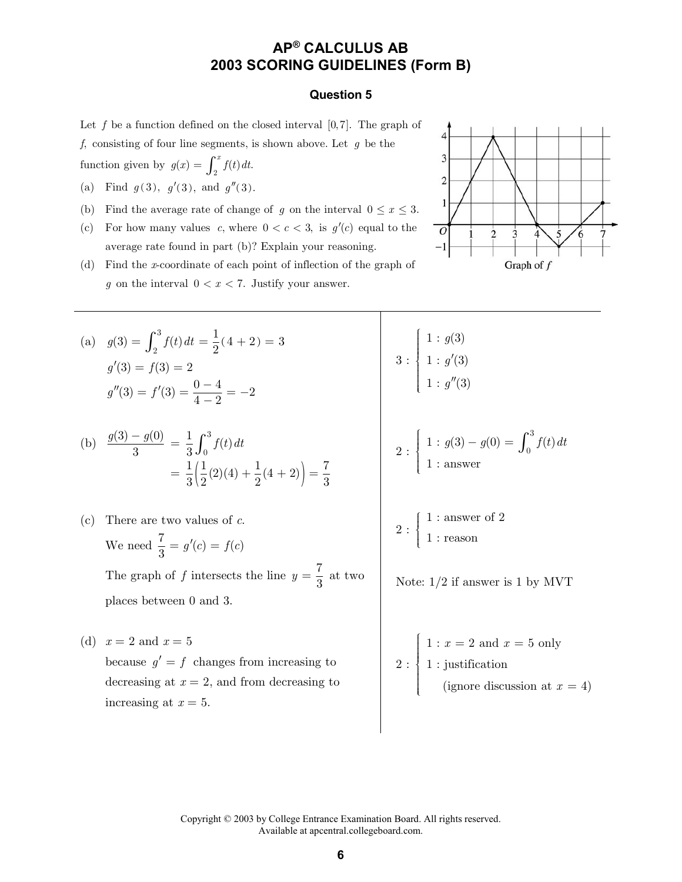#### **Question 5**

Let  $f$  be a function defined on the closed interval  $[0,7]$ . The graph of *f*, consisting of four line segments, is shown above. Let *g* be the

function given by  $g(x) = \int_2^x f(t) dt$ .

- (a) Find  $g(3)$ ,  $g'(3)$ , and  $g''(3)$ .
- (b) Find the average rate of change of *g* on the interval  $0 \le x \le 3$ .
- (c) For how many values *c*, where  $0 < c < 3$ , is  $g'(c)$  equal to the average rate found in part (b)? Explain your reasoning.



(d) Find the *x*-coordinate of each point of inflection of the graph of *g* on the interval  $0 < x < 7$ . Justify your answer.

(a) 
$$
g(3) = \int_2^3 f(t) dt = \frac{1}{2} (4 + 2) = 3
$$
  
\n $g'(3) = f(3) = 2$   
\n $g''(3) = f'(3) = \frac{0 - 4}{4 - 2} = -2$ 

(b) 
$$
\frac{g(3) - g(0)}{3} = \frac{1}{3} \int_0^3 f(t) dt
$$

$$
= \frac{1}{3} \left( \frac{1}{2} (2) (4) + \frac{1}{2} (4 + 2) \right) = \frac{7}{3}
$$

(c) There are two values of *c*. We need  $\frac{7}{3} = g'(c) = f(c)$ The graph of *f* intersects the line  $y = \frac{7}{3}$  at two

places between 0 and 3.

(d)  $x = 2$  and  $x = 5$ because  $g' = f$  changes from increasing to decreasing at  $x = 2$ , and from decreasing to increasing at  $x = 5$ .

$$
3: \begin{cases} 1: g(3) \\ 1: g'(3) \\ 1: g''(3) \end{cases}
$$
  

$$
2: \begin{cases} 1: g(3) - g(0) = \int_0^3 f(t) dt \\ 1: \text{answer} \end{cases}
$$

$$
2:\left\{\begin{array}{l} 1:\text{answer of }2\\ 1:\text{reason} \end{array}\right.
$$

Note: 1/2 if answer is 1 by MVT

2: 
$$
\begin{cases} 1: x = 2 \text{ and } x = 5 \text{ only} \\ 1: \text{justification} \\ \text{(ignore discussion at } x = 4) \end{cases}
$$